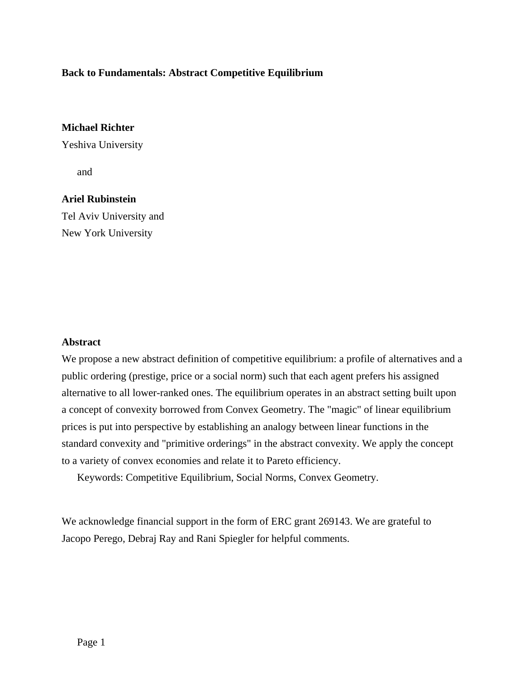# **Back to Fundamentals: Abstract Competitive Equilibrium**

# **Michael Richter**

Yeshiva University

and

# **Ariel Rubinstein**

Tel Aviv University and New York University

# **Abstract**

We propose a new abstract definition of competitive equilibrium: a profile of alternatives and a public ordering (prestige, price or a social norm) such that each agent prefers his assigned alternative to all lower-ranked ones. The equilibrium operates in an abstract setting built upon a concept of convexity borrowed from Convex Geometry. The "magic" of linear equilibrium prices is put into perspective by establishing an analogy between linear functions in the standard convexity and "primitive orderings" in the abstract convexity. We apply the concept to a variety of convex economies and relate it to Pareto efficiency.

Keywords: Competitive Equilibrium, Social Norms, Convex Geometry.

We acknowledge financial support in the form of ERC grant 269143. We are grateful to Jacopo Perego, Debraj Ray and Rani Spiegler for helpful comments.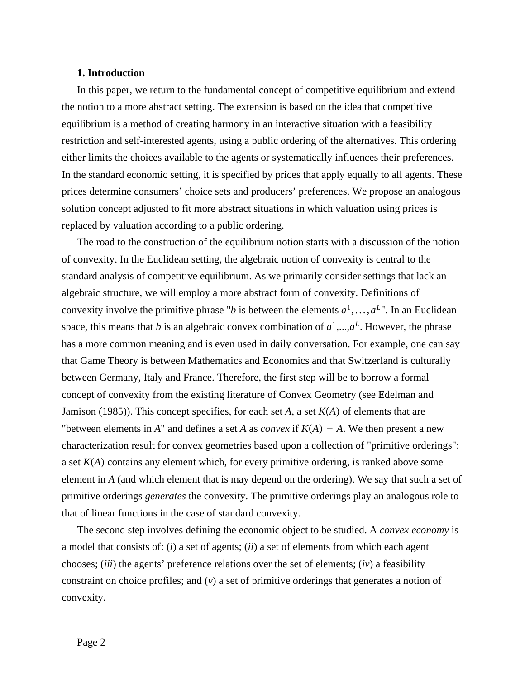# **1. Introduction**

In this paper, we return to the fundamental concept of competitive equilibrium and extend the notion to a more abstract setting. The extension is based on the idea that competitive equilibrium is a method of creating harmony in an interactive situation with a feasibility restriction and self-interested agents, using a public ordering of the alternatives. This ordering either limits the choices available to the agents or systematically influences their preferences. In the standard economic setting, it is specified by prices that apply equally to all agents. These prices determine consumers' choice sets and producers' preferences. We propose an analogous solution concept adjusted to fit more abstract situations in which valuation using prices is replaced by valuation according to a public ordering.

The road to the construction of the equilibrium notion starts with a discussion of the notion of convexity. In the Euclidean setting, the algebraic notion of convexity is central to the standard analysis of competitive equilibrium. As we primarily consider settings that lack an algebraic structure, we will employ a more abstract form of convexity. Definitions of convexity involve the primitive phrase "*b* is between the elements  $a^1, \ldots, a^L$ ". In an Euclidean space, this means that *b* is an algebraic convex combination of  $a^1$ ,..., $a^L$ . However, the phrase has a more common meaning and is even used in daily conversation. For example, one can say that Game Theory is between Mathematics and Economics and that Switzerland is culturally between Germany, Italy and France. Therefore, the first step will be to borrow a formal concept of convexity from the existing literature of Convex Geometry (see Edelman and Jamison (1985)). This concept specifies, for each set  $A$ , a set  $K(A)$  of elements that are "between elements in *A*" and defines a set *A* as *convex* if  $K(A) = A$ . We then present a new characterization result for convex geometries based upon a collection of "primitive orderings": a set  $K(A)$  contains any element which, for every primitive ordering, is ranked above some element in *A* (and which element that is may depend on the ordering). We say that such a set of primitive orderings *generates* the convexity. The primitive orderings play an analogous role to that of linear functions in the case of standard convexity.

The second step involves defining the economic object to be studied. A *convex economy* is a model that consists of: (*i*) a set of agents; (*ii*) a set of elements from which each agent chooses; (*iii*) the agents' preference relations over the set of elements; (*iv*) a feasibility constraint on choice profiles; and (*v*) a set of primitive orderings that generates a notion of convexity.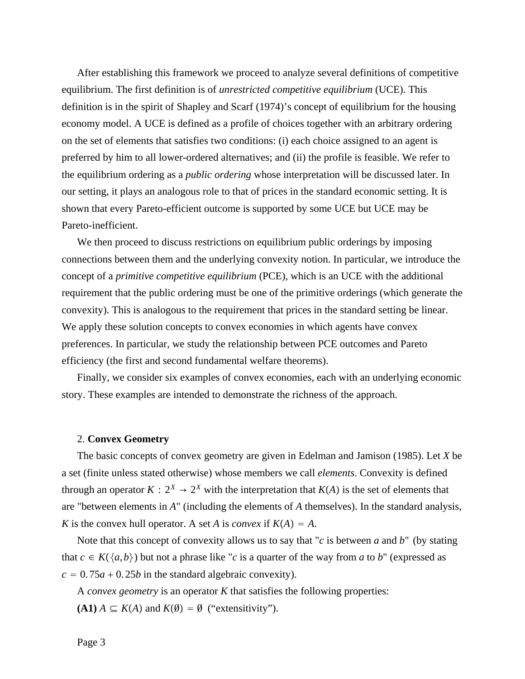After establishing this framework we proceed to analyze several definitions of competitive equilibrium. The first definition is of *unrestricted competitive equilibrium* (UCE). This definition is in the spirit of Shapley and Scarf (1974)'s concept of equilibrium for the housing economy model. A UCE is defined as a profile of choices together with an arbitrary ordering on the set of elements that satisfies two conditions: (i) each choice assigned to an agent is preferred by him to all lower-ordered alternatives; and (ii) the profile is feasible. We refer to the equilibrium ordering as a *public ordering* whose interpretation will be discussed later. In our setting, it plays an analogous role to that of prices in the standard economic setting. It is shown that every Pareto-efficient outcome is supported by some UCE but UCE may be Pareto-inefficient.

We then proceed to discuss restrictions on equilibrium public orderings by imposing connections between them and the underlying convexity notion. In particular, we introduce the concept of a *primitive competitive equilibrium* (PCE), which is an UCE with the additional requirement that the public ordering must be one of the primitive orderings (which generate the convexity). This is analogous to the requirement that prices in the standard setting be linear. We apply these solution concepts to convex economies in which agents have convex preferences. In particular, we study the relationship between PCE outcomes and Pareto efficiency (the first and second fundamental welfare theorems).

Finally, we consider six examples of convex economies, each with an underlying economic story. These examples are intended to demonstrate the richness of the approach.

#### 2. **Convex Geometry**

The basic concepts of convex geometry are given in Edelman and Jamison (1985). Let *X* be a set (finite unless stated otherwise) whose members we call *elements*. Convexity is defined through an operator  $K: 2^X \rightarrow 2^X$  with the interpretation that  $K(A)$  is the set of elements that are "between elements in *A*" (including the elements of *A* themselves). In the standard analysis, *K* is the convex hull operator. A set *A* is *convex* if  $K(A) = A$ .

Note that this concept of convexity allows us to say that "*c* is between *a* and *b*" (by stating that  $c \in K({a,b})$  but not a phrase like "*c* is a quarter of the way from *a* to *b*" (expressed as  $c = 0.75a + 0.25b$  in the standard algebraic convexity).

A *convex geometry* is an operator *K* that satisfies the following properties:

 $A \subseteq K(A)$  and  $K(\emptyset) = \emptyset$  ("extensitivity").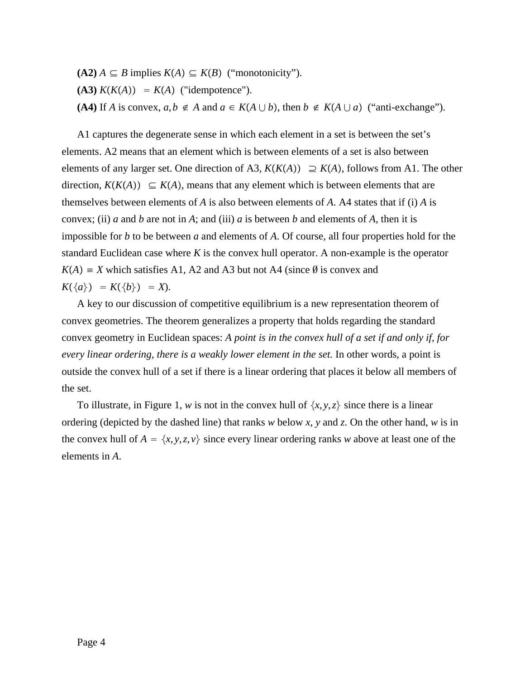$A(42)$  *A* ⊆ *B* implies  $K(A)$  ⊆  $K(B)$  ("monotonicity").  $K(K(A)) = K(A)$  ("idempotence"). **(A4)** If *A* is convex, *a*,*b* ∉ *A* and *a* ∈ *K*(*A*  $\cup$  *b*), then *b* ∉ *K*(*A*  $\cup$  *a*) ("anti-exchange").

A1 captures the degenerate sense in which each element in a set is between the set's elements. A2 means that an element which is between elements of a set is also between elements of any larger set. One direction of A3,  $K(K(A)) \supseteq K(A)$ , follows from A1. The other direction,  $K(K(A)) \subseteq K(A)$ , means that any element which is between elements that are themselves between elements of *A* is also between elements of *A*. A4 states that if (i) *A* is convex; (ii) *a* and *b* are not in *A*; and (iii) *a* is between *b* and elements of *A*, then it is impossible for *b* to be between *a* and elements of *A*. Of course, all four properties hold for the standard Euclidean case where *K* is the convex hull operator. A non-example is the operator  $K(A) \equiv X$  which satisfies A1, A2 and A3 but not A4 (since  $\emptyset$  is convex and  $K({a}) = K({b}) = X$ .

A key to our discussion of competitive equilibrium is a new representation theorem of convex geometries. The theorem generalizes a property that holds regarding the standard convex geometry in Euclidean spaces: *A point is in the convex hull of a set if and only if, for every linear ordering, there is a weakly lower element in the set.* In other words, a point is outside the convex hull of a set if there is a linear ordering that places it below all members of the set.

To illustrate, in Figure 1, *w* is not in the convex hull of  $\{x, y, z\}$  since there is a linear ordering (depicted by the dashed line) that ranks *w* below *x*, *y* and *z*. On the other hand, *w* is in the convex hull of  $A = \{x, y, z, v\}$  since every linear ordering ranks *w* above at least one of the elements in *A*.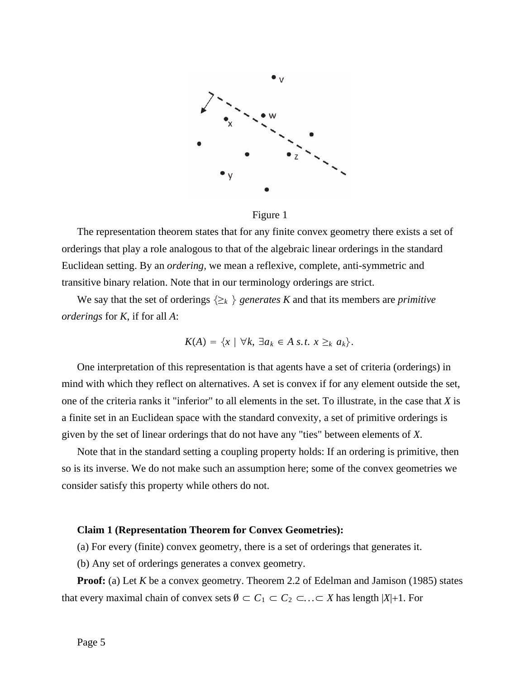

Figure 1

The representation theorem states that for any finite convex geometry there exists a set of orderings that play a role analogous to that of the algebraic linear orderings in the standard Euclidean setting. By an *ordering,* we mean a reflexive, complete, anti-symmetric and transitive binary relation. Note that in our terminology orderings are strict.

We say that the set of orderings  $\{\geq_k\}$  generates K and that its members are *primitive orderings* for *K*, if for all *A*:

$$
K(A) = \{x \mid \forall k, \exists a_k \in A \text{ s.t. } x \geq_k a_k\}.
$$

One interpretation of this representation is that agents have a set of criteria (orderings) in mind with which they reflect on alternatives. A set is convex if for any element outside the set, one of the criteria ranks it "inferior" to all elements in the set. To illustrate, in the case that *X* is a finite set in an Euclidean space with the standard convexity, a set of primitive orderings is given by the set of linear orderings that do not have any "ties" between elements of *X*.

Note that in the standard setting a coupling property holds: If an ordering is primitive, then so is its inverse. We do not make such an assumption here; some of the convex geometries we consider satisfy this property while others do not.

#### **Claim 1 (Representation Theorem for Convex Geometries):**

(a) For every (finite) convex geometry, there is a set of orderings that generates it.

(b) Any set of orderings generates a convex geometry.

**Proof:** (a) Let *K* be a convex geometry. Theorem 2.2 of Edelman and Jamison (1985) states that every maximal chain of convex sets  $\emptyset \subset C_1 \subset C_2 \subset \ldots \subset X$  has length  $|X|+1$ . For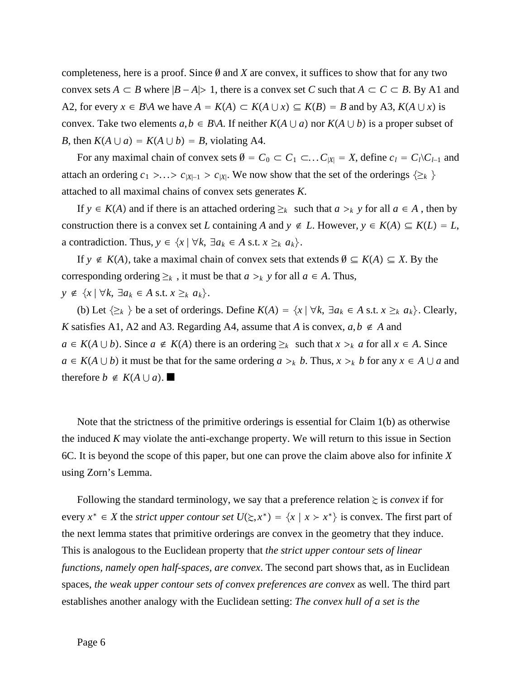completeness, here is a proof. Since ∅ and *X* are convex, it suffices to show that for any two convex sets *A*  $\subset$  *B* where  $|B - A|$  1, there is a convex set *C* such that  $A \subset C \subset B$ . By A1 and A2, for every  $x \in B \backslash A$  we have  $A = K(A) \subset K(A \cup x) \subseteq K(B) = B$  and by A3,  $K(A \cup x)$  is convex. Take two elements  $a, b \in B \setminus A$ . If neither  $K(A \cup a)$  nor  $K(A \cup b)$  is a proper subset of *B*, then  $K(A \cup a) = K(A \cup b) = B$ , violating A4.

For any maximal chain of convex sets  $\emptyset = C_0 \subset C_1 \subset \ldots C_{|X|} = X$ , define  $c_l = C_l \setminus C_{l-1}$  and attach an ordering  $c_1$  >...>  $c_{|X|-1}$  >  $c_{|X|}$ . We now show that the set of the orderings  $\{\geq_k\}$ attached to all maximal chains of convex sets generates *K*.

If  $y \in K(A)$  and if there is an attached ordering  $\geq_k$  such that  $a \geq_k y$  for all  $a \in A$ , then by construction there is a convex set *L* containing *A* and  $y \notin L$ . However,  $y \in K(A) \subseteq K(L) = L$ , a contradiction. Thus,  $y \in \{x \mid \forall k, \exists a_k \in A \text{ s.t. } x \geq_k a_k\}.$ 

If  $y \notin K(A)$ , take a maximal chain of convex sets that extends  $\emptyset \subseteq K(A) \subseteq X$ . By the corresponding ordering  $\geq_k$ , it must be that  $a \geq_k y$  for all  $a \in A$ . Thus, *y* ∉  $\{x \mid \forall k, \exists a_k \in A \text{ s.t. } x \geq_k a_k\}.$ 

(b) Let  $\{\geq_k\}$  be a set of orderings. Define  $K(A) = \{x \mid \forall k, \exists a_k \in A \text{ s.t. } x \geq_k a_k\}$ . Clearly, *K* satisfies A1, A2 and A3. Regarding A4, assume that *A* is convex,  $a, b \notin A$  and *a* ∈ *K*(*A*  $\cup$  *b*). Since *a* ∉ *K*(*A*) there is an ordering ≥<sub>*k*</sub> such that *x* ><sub>*k*</sub> *a* for all *x* ∈ *A*. Since *a* ∈ *K*(*A*  $\cup$  *b*) it must be that for the same ordering *a* ><sub>*k*</sub> *b*. Thus, *x* ><sub>*k*</sub> *b* for any *x* ∈ *A*  $\cup$  *a* and therefore  $b \notin K(A \cup a)$ .

Note that the strictness of the primitive orderings is essential for Claim 1(b) as otherwise the induced *K* may violate the anti-exchange property. We will return to this issue in Section 6C. It is beyond the scope of this paper, but one can prove the claim above also for infinite *X* using Zorn's Lemma.

Following the standard terminology, we say that a preference relation  $\geq$  is *convex* if for every  $x^* \in X$  the *strict upper contour set*  $U(\Sigma, x^*) = \{x \mid x \succ x^*\}$  is convex. The first part of the next lemma states that primitive orderings are convex in the geometry that they induce. This is analogous to the Euclidean property that *the strict upper contour sets of linear functions, namely open half-spaces, are convex*. The second part shows that, as in Euclidean spaces, *the weak upper contour sets of convex preferences are convex* as well. The third part establishes another analogy with the Euclidean setting: *The convex hull of a set is the*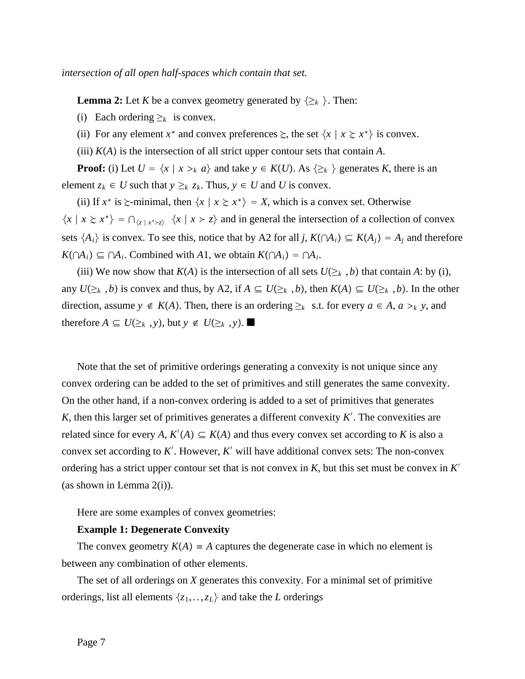*intersection of all open half-spaces which contain that set.*

**Lemma 2:** Let *K* be a convex geometry generated by  $\{\geq_k\}$ . Then:

(i) Each ordering  $\geq_k$  is convex.

(ii) For any element  $x^*$  and convex preferences  $\geq$ , the set  $\{x \mid x \geq x^*\}$  is convex.

(iii)  $K(A)$  is the intersection of all strict upper contour sets that contain  $A$ .

**Proof:** (i) Let  $U = \{x \mid x >_k a\}$  and take  $y \in K(U)$ . As  $\{\ge_k\}$  generates *K*, there is an element  $z_k \in U$  such that  $y \geq_k z_k$ . Thus,  $y \in U$  and U is convex.

(ii) If  $x^*$  is  $\geq$ -minimal, then  $\{x \mid x \geq x^*\} = X$ , which is a convex set. Otherwise  $\{x \mid x \geq x^*\} = \bigcap_{\{z \mid x^* \geq z\}} \{x \mid x \geq z\}$  and in general the intersection of a collection of convex sets  $\{A_i\}$  is convex. To see this, notice that by A2 for all *j*,  $K(\bigcap A_i) \subseteq K(A_j) = A_j$  and therefore *K*(∩*A<sub>i</sub>*) ⊆ ∩*A<sub>i</sub>*. Combined with *A*1, we obtain  $K(∩A_i) = ∩A_i$ .

(iii) We now show that  $K(A)$  is the intersection of all sets  $U(\geq_k, b)$  that contain A: by (i), any  $U(\geq_k, b)$  is convex and thus, by A2, if  $A \subseteq U(\geq_k, b)$ , then  $K(A) \subseteq U(\geq_k, b)$ . In the other direction, assume *y* ∉ *K*(*A*). Then, there is an ordering ≥<sub>*k*</sub> s.t. for every *a* ∈ *A*, *a* ><sub>*k*</sub> *y*, and therefore *A* ⊆ *U*(≥*k*, *y*), but *y* ∉ *U*(≥*k*, *y*).

Note that the set of primitive orderings generating a convexity is not unique since any convex ordering can be added to the set of primitives and still generates the same convexity. On the other hand, if a non-convex ordering is added to a set of primitives that generates K, then this larger set of primitives generates a different convexity  $K'$ . The convexities are related since for every *A*,  $K'(A) \subseteq K(A)$  and thus every convex set according to *K* is also a convex set according to *K*′ . However, *K*′ will have additional convex sets: The non-convex ordering has a strict upper contour set that is not convex in *K*, but this set must be convex in *K*′ (as shown in Lemma 2(i)).

Here are some examples of convex geometries:

### **Example 1: Degenerate Convexity**

The convex geometry  $K(A) = A$  captures the degenerate case in which no element is between any combination of other elements.

The set of all orderings on *X* generates this convexity. For a minimal set of primitive orderings, list all elements  $\{z_1, \ldots, z_L\}$  and take the *L* orderings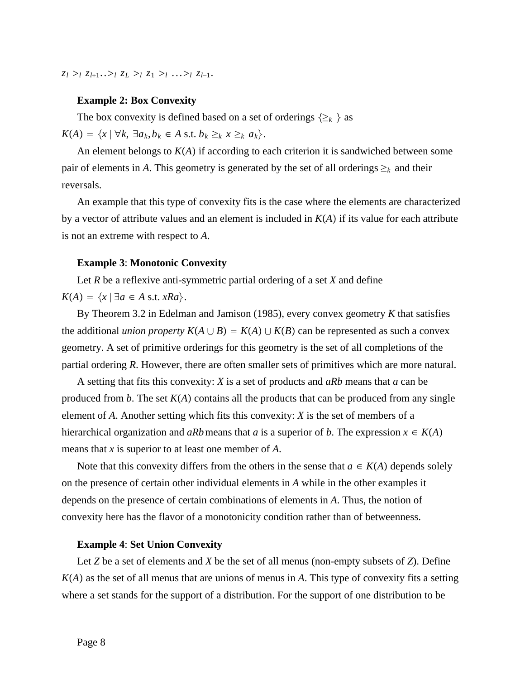*z*<sub>*l*</sub> *>*<sub>*l*</sub> *z*<sub>*l*+1</sub>..><sub>*l*</sub> *z*<sub>*L*</sub> ><sub>*l*</sub> *z*<sub>*l*</sub> *z*<sub>*l*</sub> *z*<sub>*l*</sub> *z*<sub>*l*</sub> *z*<sub>*l*</sub> *z*<sub>*l*</sub> *z*<sub>*l*</sub> *z*<sub>*l*</sub> *a*<sub>*l*</sub> *z*<sub>*l*</sub> *a*<sub>*l*</sub> *a*<sub>*l*</sub> *a*<sub>*l*</sub> *a*<sub>*l*</sub> *a*<sub>*l*</sub> *a*<sub>*l*</sub> *a*<sub>*l*</sub> *a*<sub>*l*</sub> *a*<sub>*l</sub>* 

#### **Example 2: Box Convexity**

The box convexity is defined based on a set of orderings  $\{\geq_k\}$  as  $K(A) = \{x \mid \forall k, \exists a_k, b_k \in A \text{ s.t. } b_k \geq_k x \geq_k a_k\}.$ 

An element belongs to  $K(A)$  if according to each criterion it is sandwiched between some pair of elements in *A*. This geometry is generated by the set of all orderings  $\geq_k$  and their reversals.

An example that this type of convexity fits is the case where the elements are characterized by a vector of attribute values and an element is included in  $K(A)$  if its value for each attribute is not an extreme with respect to *A*.

#### **Example 3**: **Monotonic Convexity**

Let *R* be a reflexive anti-symmetric partial ordering of a set *X* and define

 $K(A) = \{x \mid \exists a \in A \text{ s.t. } xRa\}.$ 

By Theorem 3.2 in Edelman and Jamison (1985), every convex geometry *K* that satisfies the additional *union property*  $K(A \cup B) = K(A) \cup K(B)$  can be represented as such a convex geometry. A set of primitive orderings for this geometry is the set of all completions of the partial ordering *R*. However, there are often smaller sets of primitives which are more natural.

A setting that fits this convexity: *X* is a set of products and *aRb* means that *a* can be produced from *b*. The set  $K(A)$  contains all the products that can be produced from any single element of *A*. Another setting which fits this convexity: *X* is the set of members of a hierarchical organization and *aRb* means that *a* is a superior of *b*. The expression  $x \in K(A)$ means that *x* is superior to at least one member of *A*.

Note that this convexity differs from the others in the sense that  $a \in K(A)$  depends solely on the presence of certain other individual elements in *A* while in the other examples it depends on the presence of certain combinations of elements in *A*. Thus, the notion of convexity here has the flavor of a monotonicity condition rather than of betweenness.

# **Example 4**: **Set Union Convexity**

Let *Z* be a set of elements and *X* be the set of all menus (non-empty subsets of *Z*). Define  $K(A)$  as the set of all menus that are unions of menus in A. This type of convexity fits a setting where a set stands for the support of a distribution. For the support of one distribution to be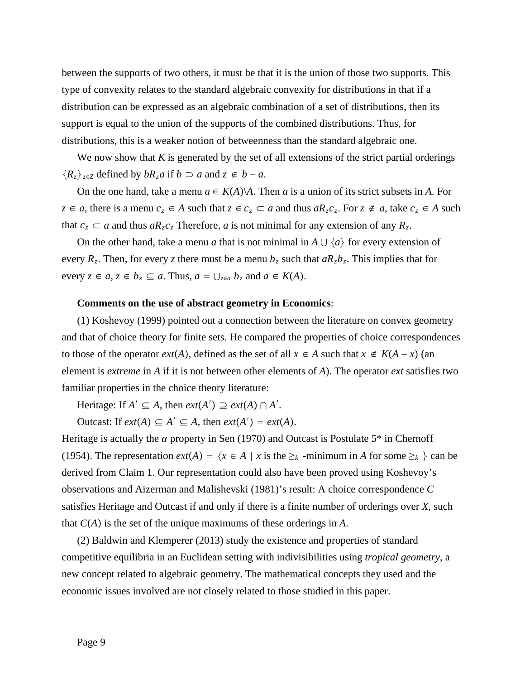between the supports of two others, it must be that it is the union of those two supports. This type of convexity relates to the standard algebraic convexity for distributions in that if a distribution can be expressed as an algebraic combination of a set of distributions, then its support is equal to the union of the supports of the combined distributions. Thus, for distributions, this is a weaker notion of betweenness than the standard algebraic one.

We now show that  $K$  is generated by the set of all extensions of the strict partial orderings  ${R_z}_{z \in Z}$  defined by *bRza* if *b* ⊃ *a* and  $z \notin b - a$ .

On the one hand, take a menu  $a \in K(A) \backslash A$ . Then *a* is a union of its strict subsets in *A*. For *z* ∈ *a*, there is a menu  $c_z$  ∈ *A* such that  $z \in c_z \subset a$  and thus  $aR_zc_z$ . For  $z \notin a$ , take  $c_z \in A$  such that  $c_z \subset a$  and thus  $aR_zc_z$  Therefore, *a* is not minimal for any extension of any  $R_z$ .

On the other hand, take a menu *a* that is not minimal in  $A \cup \{a\}$  for every extension of every  $R_z$ . Then, for every *z* there must be a menu  $b_z$  such that  $aR_zb_z$ . This implies that for every  $z \in a$ ,  $z \in b_z \subseteq a$ . Thus,  $a = \bigcup_{z \in a} b_z$  and  $a \in K(A)$ .

### **Comments on the use of abstract geometry in Economics**:

(1) Koshevoy (1999) pointed out a connection between the literature on convex geometry and that of choice theory for finite sets. He compared the properties of choice correspondences to those of the operator *ext*(*A*), defined as the set of all  $x \in A$  such that  $x \notin K(A - x)$  (an element is *extreme* in *A* if it is not between other elements of *A*). The operator *ext* satisfies two familiar properties in the choice theory literature:

Heritage: If  $A' \subseteq A$ , then  $ext(A') \supseteq ext(A) \cap A'$ .

Outcast: If  $ext(A) \subseteq A' \subseteq A$ , then  $ext(A') = ext(A)$ .

Heritage is actually the  $\alpha$  property in Sen (1970) and Outcast is Postulate 5\* in Chernoff (1954). The representation  $ext(A) = \{x \in A \mid x \text{ is the } \geq_k \}$  -minimum in *A* for some  $\geq_k \}$  can be derived from Claim 1. Our representation could also have been proved using Koshevoy's observations and Aizerman and Malishevski (1981)'s result: A choice correspondence *C* satisfies Heritage and Outcast if and only if there is a finite number of orderings over *X*, such that  $C(A)$  is the set of the unique maximums of these orderings in  $A$ .

(2) Baldwin and Klemperer (2013) study the existence and properties of standard competitive equilibria in an Euclidean setting with indivisibilities using *tropical geometry*, a new concept related to algebraic geometry. The mathematical concepts they used and the economic issues involved are not closely related to those studied in this paper.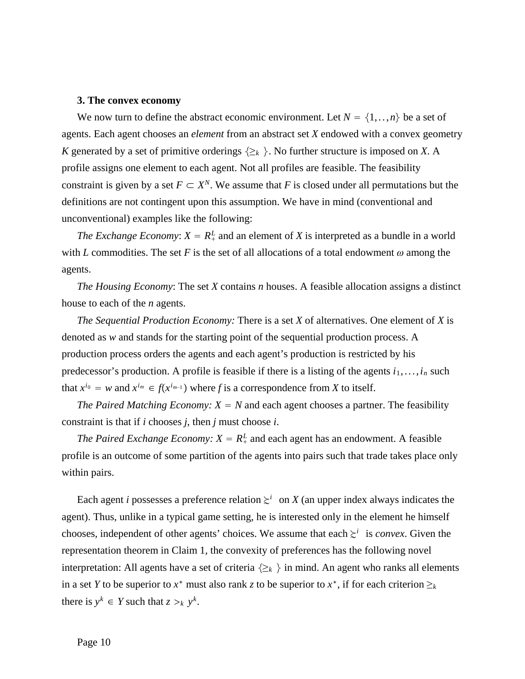### **3. The convex economy**

We now turn to define the abstract economic environment. Let  $N = \{1, \ldots, n\}$  be a set of agents. Each agent chooses an *element* from an abstract set *X* endowed with a convex geometry *K* generated by a set of primitive orderings  $\{\geq_k\}$ . No further structure is imposed on *X*. A profile assigns one element to each agent. Not all profiles are feasible. The feasibility constraint is given by a set  $F \subset X^N$ . We assume that *F* is closed under all permutations but the definitions are not contingent upon this assumption. We have in mind (conventional and unconventional) examples like the following:

*The Exchange Economy:*  $X = R_+^L$  and an element of *X* is interpreted as a bundle in a world with *L* commodities. The set *F* is the set of all allocations of a total endowment  $\omega$  among the agents.

*The Housing Economy*: The set *X* contains *n* houses. A feasible allocation assigns a distinct house to each of the *n* agents.

*The Sequential Production Economy:* There is a set *X* of alternatives. One element of *X* is denoted as *w* and stands for the starting point of the sequential production process. A production process orders the agents and each agent's production is restricted by his predecessor's production. A profile is feasible if there is a listing of the agents  $i_1, \ldots, i_n$  such that  $x^{i_0} = w$  and  $x^{i_m} \in f(x^{i_{m-1}})$  where *f* is a correspondence from *X* to itself.

*The Paired Matching Economy:*  $X = N$  and each agent chooses a partner. The feasibility constraint is that if *i* chooses *j*, then *j* must choose *i*.

*The Paired Exchange Economy:*  $X = R_+^L$  and each agent has an endowment. A feasible profile is an outcome of some partition of the agents into pairs such that trade takes place only within pairs.

Each agent *i* possesses a preference relation  $\geq^{i}$  on *X* (an upper index always indicates the agent). Thus, unlike in a typical game setting, he is interested only in the element he himself chooses, independent of other agents' choices. We assume that each  $\geq i$  is *convex*. Given the representation theorem in Claim 1, the convexity of preferences has the following novel interpretation: All agents have a set of criteria  $\{\geq_k\}$  in mind. An agent who ranks all elements in a set *Y* to be superior to  $x^*$  must also rank *z* to be superior to  $x^*$ , if for each criterion  $\geq_k$ there is  $y^k \in Y$  such that  $z >_k y^k$ .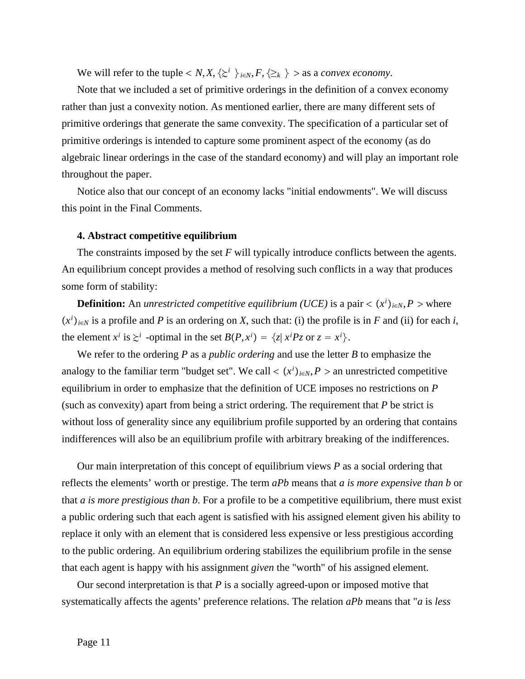We will refer to the tuple  $\langle N, X, \{ \geq^i \} \rangle_{i \in N}, F, \{ \geq_k \} \rangle$  as a *convex economy*.

Note that we included a set of primitive orderings in the definition of a convex economy rather than just a convexity notion. As mentioned earlier, there are many different sets of primitive orderings that generate the same convexity. The specification of a particular set of primitive orderings is intended to capture some prominent aspect of the economy (as do algebraic linear orderings in the case of the standard economy) and will play an important role throughout the paper.

Notice also that our concept of an economy lacks "initial endowments". We will discuss this point in the Final Comments.

## **4. Abstract competitive equilibrium**

The constraints imposed by the set *F* will typically introduce conflicts between the agents. An equilibrium concept provides a method of resolving such conflicts in a way that produces some form of stability:

**Definition:** An *unrestricted competitive equilibrium (UCE)* is a pair  $\langle x^i \rangle_{i \in N}$ ,  $P$  > where  $(x^{i})_{i \in N}$  is a profile and *P* is an ordering on *X*, such that: (i) the profile is in *F* and (ii) for each *i*, the element  $x^i$  is  $\geq i$  -optimal in the set  $B(P, x^i) = \{z | x^i P z \text{ or } z = x^i\}.$ 

We refer to the ordering *P* as a *public ordering* and use the letter *B* to emphasize the analogy to the familiar term "budget set". We call  $\langle x^i \rangle_{i \in N}$ , *P* > an unrestricted competitive equilibrium in order to emphasize that the definition of UCE imposes no restrictions on *P* (such as convexity) apart from being a strict ordering. The requirement that *P* be strict is without loss of generality since any equilibrium profile supported by an ordering that contains indifferences will also be an equilibrium profile with arbitrary breaking of the indifferences.

Our main interpretation of this concept of equilibrium views *P* as a social ordering that reflects the elements' worth or prestige. The term *aPb* means that *a is more expensive than b* or that *a is more prestigious than b*. For a profile to be a competitive equilibrium, there must exist a public ordering such that each agent is satisfied with his assigned element given his ability to replace it only with an element that is considered less expensive or less prestigious according to the public ordering. An equilibrium ordering stabilizes the equilibrium profile in the sense that each agent is happy with his assignment *given* the "worth" of his assigned element.

Our second interpretation is that *P* is a socially agreed-upon or imposed motive that systematically affects the agents' preference relations. The relation *aPb* means that "*a* is *less*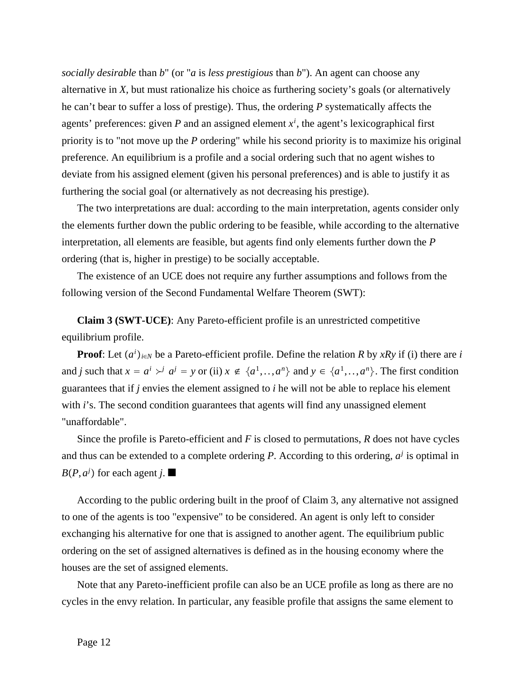*socially desirable* than *b*" (or "*a* is *less prestigious* than *b*"). An agent can choose any alternative in *X*, but must rationalize his choice as furthering society's goals (or alternatively he can't bear to suffer a loss of prestige). Thus, the ordering *P* systematically affects the agents' preferences: given  $P$  and an assigned element  $x<sup>i</sup>$ , the agent's lexicographical first priority is to "not move up the *P* ordering" while his second priority is to maximize his original preference. An equilibrium is a profile and a social ordering such that no agent wishes to deviate from his assigned element (given his personal preferences) and is able to justify it as furthering the social goal (or alternatively as not decreasing his prestige).

The two interpretations are dual: according to the main interpretation, agents consider only the elements further down the public ordering to be feasible, while according to the alternative interpretation, all elements are feasible, but agents find only elements further down the *P* ordering (that is, higher in prestige) to be socially acceptable.

The existence of an UCE does not require any further assumptions and follows from the following version of the Second Fundamental Welfare Theorem (SWT):

**Claim 3 (SWT-UCE)**: Any Pareto-efficient profile is an unrestricted competitive equilibrium profile.

**Proof**: Let  $(a^i)_{i \in N}$  be a Pareto-efficient profile. Define the relation *R* by *xRy* if (i) there are *i* and *j* such that  $x = a^i \rightarrow^j a^j = y$  or (ii)  $x \notin \{a^1, \ldots, a^n\}$  and  $y \in \{a^1, \ldots, a^n\}$ . The first condition guarantees that if *j* envies the element assigned to *i* he will not be able to replace his element with *i*'s. The second condition guarantees that agents will find any unassigned element "unaffordable".

Since the profile is Pareto-efficient and *F* is closed to permutations, *R* does not have cycles and thus can be extended to a complete ordering *P*. According to this ordering,  $a^j$  is optimal in *B*( $P$ , $a<sup>j</sup>$ ) for each agent *j*.

According to the public ordering built in the proof of Claim 3, any alternative not assigned to one of the agents is too "expensive" to be considered. An agent is only left to consider exchanging his alternative for one that is assigned to another agent. The equilibrium public ordering on the set of assigned alternatives is defined as in the housing economy where the houses are the set of assigned elements.

Note that any Pareto-inefficient profile can also be an UCE profile as long as there are no cycles in the envy relation. In particular, any feasible profile that assigns the same element to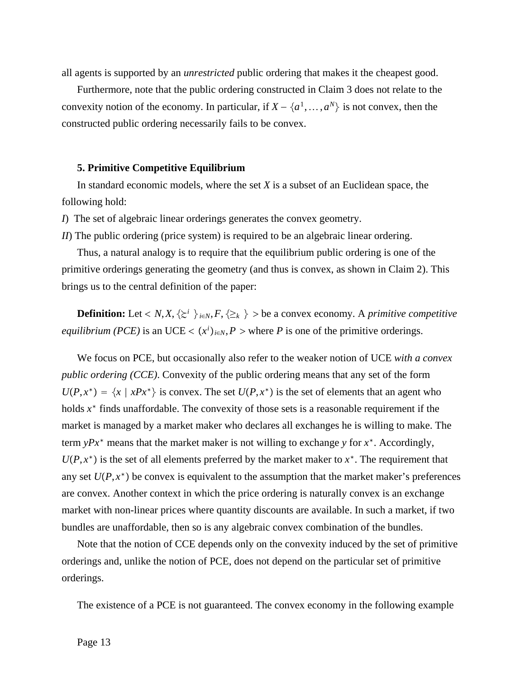all agents is supported by an *unrestricted* public ordering that makes it the cheapest good.

Furthermore, note that the public ordering constructed in Claim 3 does not relate to the convexity notion of the economy. In particular, if  $X - \{a^1, \ldots, a^N\}$  is not convex, then the constructed public ordering necessarily fails to be convex.

#### **5. Primitive Competitive Equilibrium**

In standard economic models, where the set *X* is a subset of an Euclidean space, the following hold:

*I*) The set of algebraic linear orderings generates the convex geometry.

*II*) The public ordering (price system) is required to be an algebraic linear ordering.

Thus, a natural analogy is to require that the equilibrium public ordering is one of the primitive orderings generating the geometry (and thus is convex, as shown in Claim 2). This brings us to the central definition of the paper:

**Definition:** Let  $\langle N, X, \{ \Sigma^i \} \rangle_{i \in N}, F, \{ \Sigma_k \} \rangle$  be a convex economy. A *primitive competitive equilibrium (PCE)* is an UCE <  $(x^i)_{i \in N}$ , *P* > where *P* is one of the primitive orderings.

We focus on PCE, but occasionally also refer to the weaker notion of UCE *with a convex public ordering (CCE)*. Convexity of the public ordering means that any set of the form  $U(P, x^*) = \{x \mid xPx^*\}$  is convex. The set  $U(P, x^*)$  is the set of elements that an agent who holds *x*<sup>∗</sup> finds unaffordable. The convexity of those sets is a reasonable requirement if the market is managed by a market maker who declares all exchanges he is willing to make. The term *yPx*<sup>∗</sup> means that the market maker is not willing to exchange *y* for *x*<sup>∗</sup>. Accordingly,  $U(P, x^*)$  is the set of all elements preferred by the market maker to  $x^*$ . The requirement that any set  $U(P, x^*)$  be convex is equivalent to the assumption that the market maker's preferences are convex. Another context in which the price ordering is naturally convex is an exchange market with non-linear prices where quantity discounts are available. In such a market, if two bundles are unaffordable, then so is any algebraic convex combination of the bundles.

Note that the notion of CCE depends only on the convexity induced by the set of primitive orderings and, unlike the notion of PCE, does not depend on the particular set of primitive orderings.

The existence of a PCE is not guaranteed. The convex economy in the following example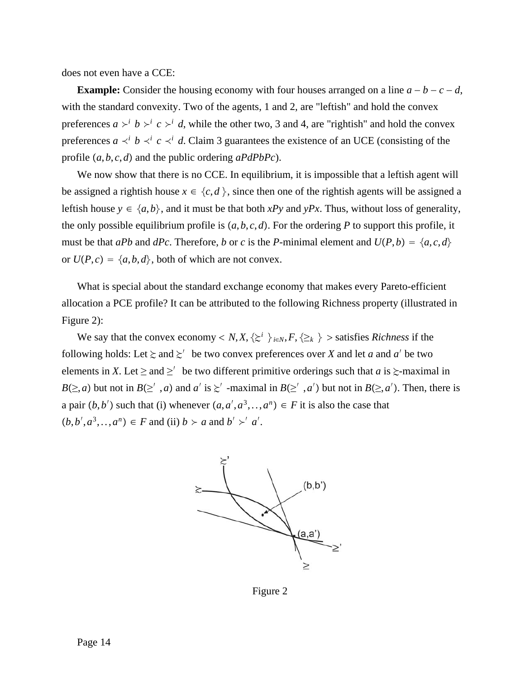does not even have a CCE:

**Example:** Consider the housing economy with four houses arranged on a line  $a - b - c - d$ , with the standard convexity. Two of the agents, 1 and 2, are "leftish" and hold the convex preferences  $a \n\geq^{i} b \n\geq^{i} c \n\geq^{i} d$ , while the other two, 3 and 4, are "rightish" and hold the convex preferences  $a \prec^i b \prec^i c \prec^i d$ . Claim 3 guarantees the existence of an UCE (consisting of the profile *a*,*b*, *c*,*d* and the public ordering *aPdPbPc*).

We now show that there is no CCE. In equilibrium, it is impossible that a leftish agent will be assigned a rightish house  $x \in \{c, d\}$ , since then one of the rightish agents will be assigned a leftish house  $y \in \{a,b\}$ , and it must be that both *xPy* and *yPx*. Thus, without loss of generality, the only possible equilibrium profile is  $(a, b, c, d)$ . For the ordering P to support this profile, it must be that *aPb* and *dPc*. Therefore, *b* or *c* is the *P*-minimal element and  $U(P, b) = \{a, c, d\}$ or  $U(P, c) = \{a, b, d\}$ , both of which are not convex.

What is special about the standard exchange economy that makes every Pareto-efficient allocation a PCE profile? It can be attributed to the following Richness property (illustrated in Figure 2):

We say that the convex economy  $\langle N, X, \{z^i\}\rangle_{i \in N}, F, \{z_k\}\rangle$  is satisfies *Richness* if the following holds: Let  $\ge$  and  $\ge'$  be two convex preferences over *X* and let *a* and *a'* be two elements in *X*. Let  $\ge$  and  $\ge'$  be two different primitive orderings such that *a* is  $\ge$ -maximal in *B*( $\geq$ , *a*) but not in *B*( $\geq'$ , *a*) and *a'* is  $\geq'$  -maximal in *B*( $\geq'$ , *a'*) but not in *B*( $\geq$ , *a'*). Then, there is a pair  $(b, b')$  such that (i) whenever  $(a, a', a^3, \ldots, a^n) \in F$  it is also the case that  $(b, b', a^3, \ldots, a^n) \in F$  and (ii)  $b \succ a$  and  $b' \succ' a'$ .



Figure 2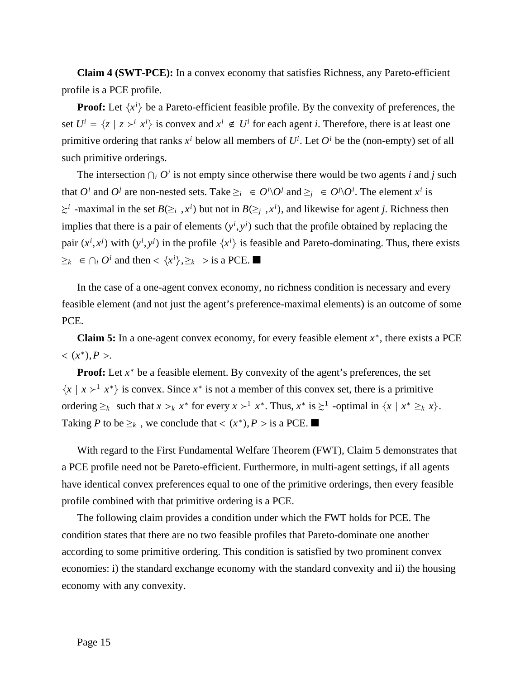**Claim 4 (SWT-PCE):** In a convex economy that satisfies Richness, any Pareto-efficient profile is a PCE profile.

**Proof:** Let  $\{x^i\}$  be a Pareto-efficient feasible profile. By the convexity of preferences, the set  $U^i = \{z \mid z \succ^i x^i\}$  is convex and  $x^i \notin U^i$  for each agent *i*. Therefore, there is at least one primitive ordering that ranks  $x^i$  below all members of  $U^i$ . Let  $O^i$  be the (non-empty) set of all such primitive orderings.

The intersection  $\bigcap_i O^i$  is not empty since otherwise there would be two agents *i* and *j* such that  $O^i$  and  $O^j$  are non-nested sets. Take  $\geq_i \in O^i \setminus O^j$  and  $\geq_j \in O^j \setminus O^i$ . The element  $x^i$  is  $\geq i$  -maximal in the set *B*( $\geq i$ , *x<sup>i</sup>*) but not in *B*( $\geq j$ , *x<sup>i</sup>*), and likewise for agent *j*. Richness then implies that there is a pair of elements  $(y<sup>i</sup>, y<sup>j</sup>)$  such that the profile obtained by replacing the pair  $(x^i, x^j)$  with  $(y^i, y^j)$  in the profile  $\{x^i\}$  is feasible and Pareto-dominating. Thus, there exists  $\geq_k$  ∈ ∩*i O*<sup>*i*</sup> and then <  $\{x^i\}, \geq_k$  > is a PCE. ■

In the case of a one-agent convex economy, no richness condition is necessary and every feasible element (and not just the agent's preference-maximal elements) is an outcome of some PCE.

**Claim 5:** In a one-agent convex economy, for every feasible element *x*<sup>∗</sup>, there exists a PCE  $<$   $(x^*)$ , *P* >.

**Proof:** Let  $x^*$  be a feasible element. By convexity of the agent's preferences, the set  $\{x \mid x \succ^1 x^*\}$  is convex. Since  $x^*$  is not a member of this convex set, there is a primitive ordering  $\geq_k$  such that  $x >_k x^*$  for every  $x >^1 x^*$ . Thus,  $x^*$  is  $\geq^1$  -optimal in  $\{x \mid x^* \geq_k x\}$ . Taking *P* to be  $\geq_k$ , we conclude that <  $(x^*)$ , *P* > is a PCE. ■

With regard to the First Fundamental Welfare Theorem (FWT), Claim 5 demonstrates that a PCE profile need not be Pareto-efficient. Furthermore, in multi-agent settings, if all agents have identical convex preferences equal to one of the primitive orderings, then every feasible profile combined with that primitive ordering is a PCE.

The following claim provides a condition under which the FWT holds for PCE. The condition states that there are no two feasible profiles that Pareto-dominate one another according to some primitive ordering. This condition is satisfied by two prominent convex economies: i) the standard exchange economy with the standard convexity and ii) the housing economy with any convexity.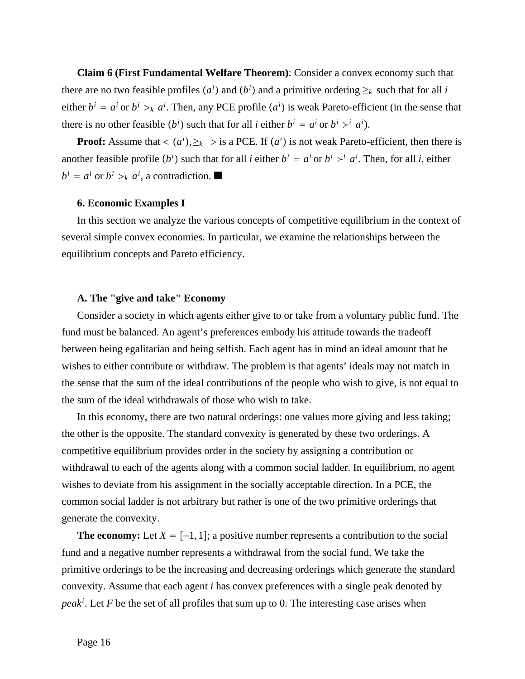**Claim 6 (First Fundamental Welfare Theorem)**: Consider a convex economy such that there are no two feasible profiles  $(a^i)$  and  $(b^i)$  and a primitive ordering  $\geq_k$  such that for all *i* either  $b^i = a^i$  or  $b^i >_k a^i$ . Then, any PCE profile  $(a^i)$  is weak Pareto-efficient (in the sense that there is no other feasible  $(b^i)$  such that for all *i* either  $b^i = a^i$  or  $b^i \rightarrow^i a^i$ .

**Proof:** Assume that  $\langle a^i \rangle$ ,  $\geq_k$  > is a PCE. If  $(a^i)$  is not weak Pareto-efficient, then there is another feasible profile  $(b^i)$  such that for all *i* either  $b^i = a^i$  or  $b^i \rightarrow a^i$ . Then, for all *i*, either  $b^i = a^i$  or  $b^i >_k a^i$ , a contradiction.

#### **6. Economic Examples I**

In this section we analyze the various concepts of competitive equilibrium in the context of several simple convex economies. In particular, we examine the relationships between the equilibrium concepts and Pareto efficiency.

# **A. The "give and take" Economy**

Consider a society in which agents either give to or take from a voluntary public fund. The fund must be balanced. An agent's preferences embody his attitude towards the tradeoff between being egalitarian and being selfish. Each agent has in mind an ideal amount that he wishes to either contribute or withdraw. The problem is that agents' ideals may not match in the sense that the sum of the ideal contributions of the people who wish to give, is not equal to the sum of the ideal withdrawals of those who wish to take.

In this economy, there are two natural orderings: one values more giving and less taking; the other is the opposite. The standard convexity is generated by these two orderings. A competitive equilibrium provides order in the society by assigning a contribution or withdrawal to each of the agents along with a common social ladder. In equilibrium, no agent wishes to deviate from his assignment in the socially acceptable direction. In a PCE, the common social ladder is not arbitrary but rather is one of the two primitive orderings that generate the convexity.

**The economy:** Let  $X = [-1, 1]$ ; a positive number represents a contribution to the social fund and a negative number represents a withdrawal from the social fund. We take the primitive orderings to be the increasing and decreasing orderings which generate the standard convexity. Assume that each agent *i* has convex preferences with a single peak denoted by *peaki* . Let *F* be the set of all profiles that sum up to 0. The interesting case arises when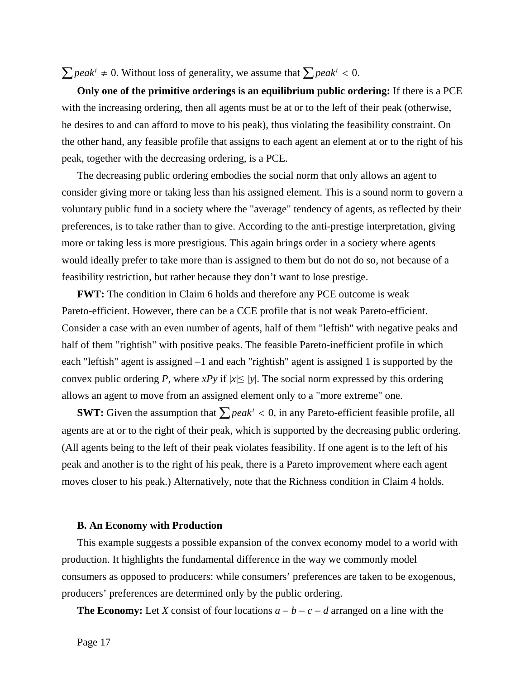$\sum$ *peak<sup>i</sup>* ≠ 0. Without loss of generality, we assume that  $\sum$ *peak<sup>i</sup>* < 0.

**Only one of the primitive orderings is an equilibrium public ordering:** If there is a PCE with the increasing ordering, then all agents must be at or to the left of their peak (otherwise, he desires to and can afford to move to his peak), thus violating the feasibility constraint. On the other hand, any feasible profile that assigns to each agent an element at or to the right of his peak, together with the decreasing ordering, is a PCE.

The decreasing public ordering embodies the social norm that only allows an agent to consider giving more or taking less than his assigned element. This is a sound norm to govern a voluntary public fund in a society where the "average" tendency of agents, as reflected by their preferences, is to take rather than to give. According to the anti-prestige interpretation, giving more or taking less is more prestigious. This again brings order in a society where agents would ideally prefer to take more than is assigned to them but do not do so, not because of a feasibility restriction, but rather because they don't want to lose prestige.

**FWT:** The condition in Claim 6 holds and therefore any PCE outcome is weak Pareto-efficient. However, there can be a CCE profile that is not weak Pareto-efficient. Consider a case with an even number of agents, half of them "leftish" with negative peaks and half of them "rightish" with positive peaks. The feasible Pareto-inefficient profile in which each "leftish" agent is assigned −1 and each "rightish" agent is assigned 1 is supported by the convex public ordering *P*, where *xPy* if  $|x| \le |y|$ . The social norm expressed by this ordering allows an agent to move from an assigned element only to a "more extreme" one.

**SWT:** Given the assumption that  $\sum peak^i < 0$ , in any Pareto-efficient feasible profile, all agents are at or to the right of their peak, which is supported by the decreasing public ordering. (All agents being to the left of their peak violates feasibility. If one agent is to the left of his peak and another is to the right of his peak, there is a Pareto improvement where each agent moves closer to his peak.) Alternatively, note that the Richness condition in Claim 4 holds.

# **B. An Economy with Production**

This example suggests a possible expansion of the convex economy model to a world with production. It highlights the fundamental difference in the way we commonly model consumers as opposed to producers: while consumers' preferences are taken to be exogenous, producers' preferences are determined only by the public ordering.

**The Economy:** Let *X* consist of four locations  $a - b - c - d$  arranged on a line with the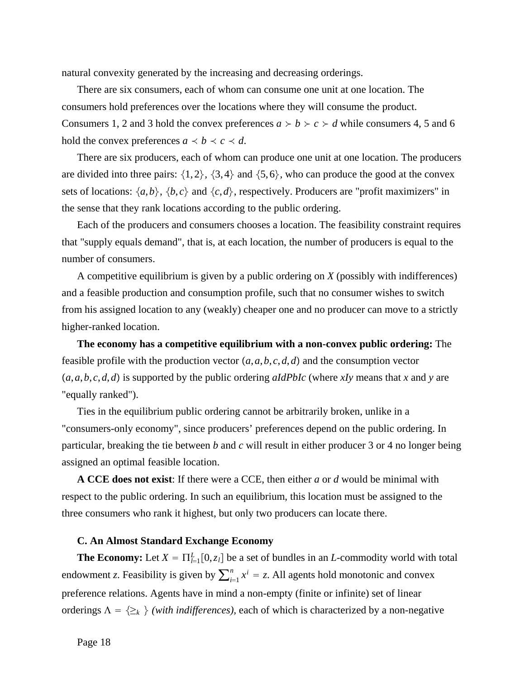natural convexity generated by the increasing and decreasing orderings.

There are six consumers, each of whom can consume one unit at one location. The consumers hold preferences over the locations where they will consume the product. Consumers 1, 2 and 3 hold the convex preferences  $a \succ b \succ c \succ d$  while consumers 4, 5 and 6 hold the convex preferences  $a \prec b \prec c \prec d$ .

There are six producers, each of whom can produce one unit at one location. The producers are divided into three pairs:  $\{1, 2\}$ ,  $\{3, 4\}$  and  $\{5, 6\}$ , who can produce the good at the convex sets of locations:  $\{a,b\}$ ,  $\{b,c\}$  and  $\{c,d\}$ , respectively. Producers are "profit maximizers" in the sense that they rank locations according to the public ordering.

Each of the producers and consumers chooses a location. The feasibility constraint requires that "supply equals demand", that is, at each location, the number of producers is equal to the number of consumers.

A competitive equilibrium is given by a public ordering on *X* (possibly with indifferences) and a feasible production and consumption profile, such that no consumer wishes to switch from his assigned location to any (weakly) cheaper one and no producer can move to a strictly higher-ranked location.

**The economy has a competitive equilibrium with a non-convex public ordering:** The feasible profile with the production vector  $(a, a, b, c, d, d)$  and the consumption vector *a*,*a*,*b*, *c*,*d*,*d* is supported by the public ordering *aIdPbIc* (where *xIy* means that *x* and *y* are "equally ranked").

Ties in the equilibrium public ordering cannot be arbitrarily broken, unlike in a "consumers-only economy", since producers' preferences depend on the public ordering. In particular, breaking the tie between *b* and *c* will result in either producer 3 or 4 no longer being assigned an optimal feasible location.

**A CCE does not exist**: If there were a CCE, then either *a* or *d* would be minimal with respect to the public ordering. In such an equilibrium, this location must be assigned to the three consumers who rank it highest, but only two producers can locate there.

### **C. An Almost Standard Exchange Economy**

**The Economy:** Let  $X = \prod_{i=1}^{L} [0, z_i]$  be a set of bundles in an *L*-commodity world with total endowment *z*. Feasibility is given by  $\sum_{i=1}^{n} x^{i} = z$ . All agents hold monotonic and convex preference relations. Agents have in mind a non-empty (finite or infinite) set of linear orderings  $\Lambda = \{\geq_k\}$  (with indifferences), each of which is characterized by a non-negative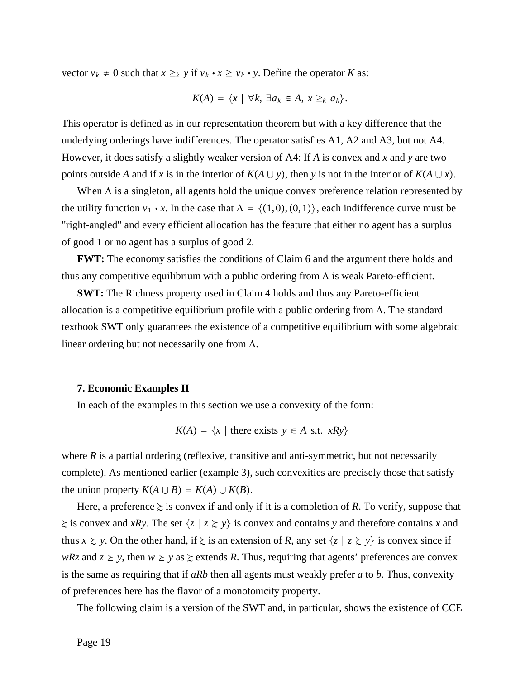vector  $v_k \neq 0$  such that  $x \geq_k y$  if  $v_k \cdot x \geq v_k \cdot y$ . Define the operator *K* as:

$$
K(A) = \{x \mid \forall k, \exists a_k \in A, x \geq_k a_k\}.
$$

This operator is defined as in our representation theorem but with a key difference that the underlying orderings have indifferences. The operator satisfies A1, A2 and A3, but not A4. However, it does satisfy a slightly weaker version of A4: If *A* is convex and *x* and *y* are two points outside *A* and if *x* is in the interior of  $K(A \cup y)$ , then *y* is not in the interior of  $K(A \cup x)$ .

When  $\Lambda$  is a singleton, all agents hold the unique convex preference relation represented by the utility function  $v_1 \cdot x$ . In the case that  $\Lambda = \{(1,0), (0,1)\}$ , each indifference curve must be "right-angled" and every efficient allocation has the feature that either no agent has a surplus of good 1 or no agent has a surplus of good 2.

**FWT:** The economy satisfies the conditions of Claim 6 and the argument there holds and thus any competitive equilibrium with a public ordering from  $\Lambda$  is weak Pareto-efficient.

**SWT:** The Richness property used in Claim 4 holds and thus any Pareto-efficient allocation is a competitive equilibrium profile with a public ordering from  $\Lambda$ . The standard textbook SWT only guarantees the existence of a competitive equilibrium with some algebraic linear ordering but not necessarily one from  $\Lambda$ .

#### **7. Economic Examples II**

In each of the examples in this section we use a convexity of the form:

$$
K(A) = \{x \mid \text{there exists } y \in A \text{ s.t. } xRy\}
$$

where  $R$  is a partial ordering (reflexive, transitive and anti-symmetric, but not necessarily complete). As mentioned earlier (example 3), such convexities are precisely those that satisfy the union property  $K(A \cup B) = K(A) \cup K(B)$ .

Here, a preference  $\geq$  is convex if and only if it is a completion of R. To verify, suppose that  $\geq$  is convex and *xRy*. The set  $\{z \mid z \geq y\}$  is convex and contains *y* and therefore contains *x* and thus  $x \geq y$ . On the other hand, if  $\geq$  is an extension of *R*, any set  $\{z \mid z \geq y\}$  is convex since if *wRz* and  $z \ge y$ , then  $w \ge y$  as  $\ge$  extends *R*. Thus, requiring that agents' preferences are convex is the same as requiring that if *aRb* then all agents must weakly prefer *a* to *b*. Thus, convexity of preferences here has the flavor of a monotonicity property.

The following claim is a version of the SWT and, in particular, shows the existence of CCE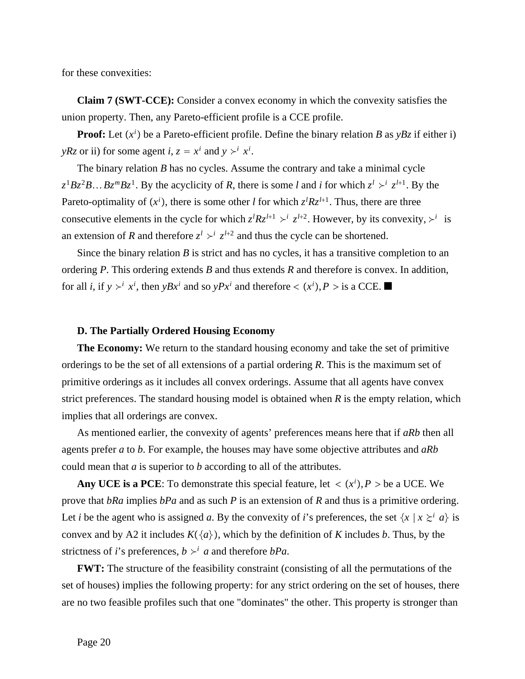for these convexities:

**Claim 7 (SWT-CCE):** Consider a convex economy in which the convexity satisfies the union property. Then, any Pareto-efficient profile is a CCE profile.

**Proof:** Let  $(x^i)$  be a Pareto-efficient profile. Define the binary relation *B* as  $yBz$  if either i) *yRz* or ii) for some agent *i*,  $z = x^i$  and  $y \succ^i x^i$ .

The binary relation *B* has no cycles. Assume the contrary and take a minimal cycle  $z^1Bz^2B...Bz^mBz^1$ . By the acyclicity of *R*, there is some *l* and *i* for which  $z^l \geq z^{l+1}$ . By the Pareto-optimality of  $(x^i)$ , there is some other *l* for which  $z^lRz^{l+1}$ . Thus, there are three consecutive elements in the cycle for which  $z^{l}Rz^{l+1} > i z^{l+2}$ . However, by its convexity,  $\geq i$  is an extension of *R* and therefore  $z^l \geq z^{l+2}$  and thus the cycle can be shortened.

Since the binary relation *B* is strict and has no cycles, it has a transitive completion to an ordering *P*. This ordering extends *B* and thus extends *R* and therefore is convex. In addition, for all *i*, if  $y \succ^i x^i$ , then  $yBx^i$  and so  $yPx^i$  and therefore  $\lt (x^i)$ ,  $P >$  is a CCE.

#### **D. The Partially Ordered Housing Economy**

**The Economy:** We return to the standard housing economy and take the set of primitive orderings to be the set of all extensions of a partial ordering *R*. This is the maximum set of primitive orderings as it includes all convex orderings. Assume that all agents have convex strict preferences. The standard housing model is obtained when *R* is the empty relation, which implies that all orderings are convex.

As mentioned earlier, the convexity of agents' preferences means here that if *aRb* then all agents prefer *a* to *b*. For example, the houses may have some objective attributes and *aRb* could mean that *a* is superior to *b* according to all of the attributes.

**Any UCE is a PCE**: To demonstrate this special feature, let  $\langle x^i \rangle$ ,  $P >$  be a UCE. We prove that *bRa* implies *bPa* and as such *P* is an extension of *R* and thus is a primitive ordering. Let *i* be the agent who is assigned *a*. By the convexity of *i*'s preferences, the set  $\{x \mid x \geq i \}$  is convex and by A2 it includes  $K({a})$ , which by the definition of *K* includes *b*. Thus, by the strictness of *i*'s preferences,  $b \succ^i a$  and therefore *bPa*.

**FWT:** The structure of the feasibility constraint (consisting of all the permutations of the set of houses) implies the following property: for any strict ordering on the set of houses, there are no two feasible profiles such that one "dominates" the other. This property is stronger than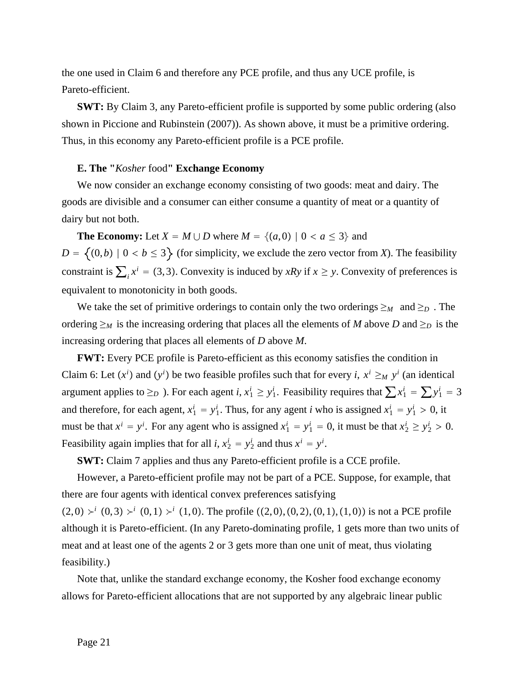the one used in Claim 6 and therefore any PCE profile, and thus any UCE profile, is Pareto-efficient.

**SWT:** By Claim 3, any Pareto-efficient profile is supported by some public ordering (also shown in Piccione and Rubinstein (2007)). As shown above, it must be a primitive ordering. Thus, in this economy any Pareto-efficient profile is a PCE profile.

# **E. The "***Kosher* food**" Exchange Economy**

We now consider an exchange economy consisting of two goods: meat and dairy. The goods are divisible and a consumer can either consume a quantity of meat or a quantity of dairy but not both.

**The Economy:** Let  $X = M \cup D$  where  $M = \{(a, 0) | 0 < a \leq 3\}$  and  $D = \{(0,b) | 0 < b \le 3\}$  (for simplicity, we exclude the zero vector from *X*). The feasibility constraint is  $\sum_i x^i = (3, 3)$ . Convexity is induced by *xRy* if  $x \geq y$ . Convexity of preferences is equivalent to monotonicity in both goods.

We take the set of primitive orderings to contain only the two orderings  $\geq_M$  and  $\geq_D$ . The ordering  $\geq_M$  is the increasing ordering that places all the elements of *M* above *D* and  $\geq_D$  is the increasing ordering that places all elements of *D* above *M*.

**FWT:** Every PCE profile is Pareto-efficient as this economy satisfies the condition in Claim 6: Let  $(x^i)$  and  $(y^i)$  be two feasible profiles such that for every *i*,  $x^i \geq_M y^i$  (an identical argument applies to  $\geq_D$ ). For each agent *i*,  $x_1^i \geq y_1^i$ . Feasibility requires that  $\sum x_1^i = \sum y_1^i = 3$ and therefore, for each agent,  $x_1^i = y_1^i$ . Thus, for any agent *i* who is assigned  $x_1^i = y_1^i > 0$ , it must be that  $x^i = y^i$ . For any agent who is assigned  $x_1^i = y_1^i = 0$ , it must be that  $x_2^i \ge y_2^i > 0$ . Feasibility again implies that for all *i*,  $x_2^i = y_2^i$  and thus  $x^i = y^i$ .

**SWT:** Claim 7 applies and thus any Pareto-efficient profile is a CCE profile.

However, a Pareto-efficient profile may not be part of a PCE. Suppose, for example, that there are four agents with identical convex preferences satisfying

 $(2,0) \rightarrow^{i} (0,3) \rightarrow^{i} (0,1) \rightarrow^{i} (1,0)$ . The profile  $((2,0),(0,2),(0,1),(1,0))$  is not a PCE profile although it is Pareto-efficient. (In any Pareto-dominating profile, 1 gets more than two units of meat and at least one of the agents 2 or 3 gets more than one unit of meat, thus violating feasibility.)

Note that, unlike the standard exchange economy, the Kosher food exchange economy allows for Pareto-efficient allocations that are not supported by any algebraic linear public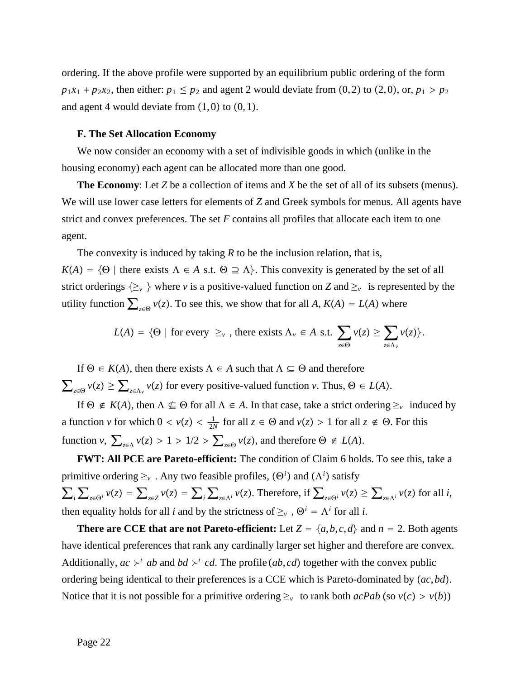ordering. If the above profile were supported by an equilibrium public ordering of the form  $p_1x_1 + p_2x_2$ , then either:  $p_1 \leq p_2$  and agent 2 would deviate from (0, 2) to (2, 0), or,  $p_1 > p_2$ and agent 4 would deviate from  $(1, 0)$  to  $(0, 1)$ .

# **F. The Set Allocation Economy**

We now consider an economy with a set of indivisible goods in which (unlike in the housing economy) each agent can be allocated more than one good.

**The Economy**: Let *Z* be a collection of items and *X* be the set of all of its subsets (menus). We will use lower case letters for elements of *Z* and Greek symbols for menus. All agents have strict and convex preferences. The set *F* contains all profiles that allocate each item to one agent.

The convexity is induced by taking *R* to be the inclusion relation, that is,  $K(A) = \{ \Theta \mid \text{there exists } \Lambda \in A \text{ s.t. } \Theta \supseteq \Lambda \}.$  This convexity is generated by the set of all strict orderings  $\{\geq_\nu\}$  where  $\nu$  is a positive-valued function on *Z* and  $\geq_\nu$  is represented by the utility function  $\sum_{z \in \Theta} v(z)$ . To see this, we show that for all *A*,  $K(A) = L(A)$  where

$$
L(A) = \{ \Theta \mid \text{for every } \geq_{\nu} \text{, there exists } \Lambda_{\nu} \in A \text{ s.t. } \sum_{z \in \Theta} \nu(z) \geq \sum_{z \in \Lambda_{\nu}} \nu(z) \}.
$$

If  $\Theta \in K(A)$ , then there exists  $\Lambda \in A$  such that  $\Lambda \subseteq \Theta$  and therefore  $\sum_{z \in \Theta} v(z) \ge \sum_{z \in \Lambda_v} v(z)$  for every positive-valued function *v*. Thus,  $\Theta \in L(A)$ .

If  $\Theta \notin K(A)$ , then  $\Lambda \nsubseteq \Theta$  for all  $\Lambda \in A$ . In that case, take a strict ordering  $\geq_{\nu}$  induced by a function *v* for which  $0 < v(z) < \frac{1}{2N}$  for all  $z \in \Theta$  and  $v(z) > 1$  for all  $z \notin \Theta$ . For this function  $v$ ,  $\sum_{z \in \Lambda} v(z) > 1 > 1/2 > \sum_{z \in \Theta} v(z)$ , and therefore  $\Theta \notin L(A)$ .

**FWT: All PCE are Pareto-efficient:** The condition of Claim 6 holds. To see this, take a primitive ordering  $\geq_\nu$ . Any two feasible profiles,  $(\Theta^i)$  and  $(\Lambda^i)$  satisfy  $\sum_{i}\sum_{z\in\Theta^i}\nu(z)=\sum_{z\in Z}\nu(z)=\sum_{i}\sum_{z\in\Lambda^i}\nu(z).$  Therefore, if  $\sum_{z\in\Theta^i}\nu(z)\geq\sum_{z\in\Lambda^i}\nu(z)$  for all i, then equality holds for all *i* and by the strictness of  $\geq_v$ ,  $\Theta^i = \Lambda^i$  for all *i*.

**There are CCE that are not Pareto-efficient:** Let  $Z = \{a, b, c, d\}$  and  $n = 2$ . Both agents have identical preferences that rank any cardinally larger set higher and therefore are convex. Additionally,  $ac \succ^i ab$  and  $bd \succ^i cd$ . The profile  $(ab, cd)$  together with the convex public ordering being identical to their preferences is a CCE which is Pareto-dominated by *ac*,*bd*. Notice that it is not possible for a primitive ordering  $\geq_v$  to rank both *acPab* (so  $v(c) > v(b)$ )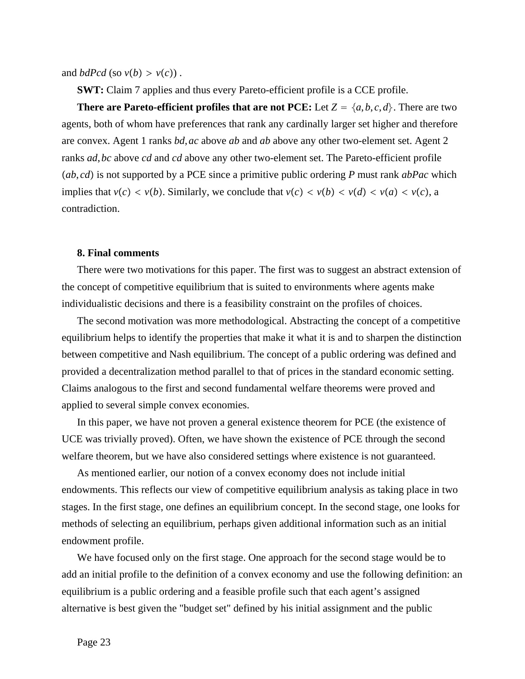and *bdPcd* (so  $v(b) > v(c)$ ).

**SWT:** Claim 7 applies and thus every Pareto-efficient profile is a CCE profile.

**There are Pareto-efficient profiles that are not PCE:** Let  $Z = \{a, b, c, d\}$ . There are two agents, both of whom have preferences that rank any cardinally larger set higher and therefore are convex. Agent 1 ranks *bd*,*ac* above *ab* and *ab* above any other two-element set. Agent 2 ranks *ad*,*bc* above *cd* and *cd* above any other two-element set. The Pareto-efficient profile *ab*, *cd* is not supported by a PCE since a primitive public ordering *P* must rank *abPac* which implies that  $v(c) < v(b)$ . Similarly, we conclude that  $v(c) < v(b) < v(d) < v(a) < v(c)$ , a contradiction.

#### **8. Final comments**

There were two motivations for this paper. The first was to suggest an abstract extension of the concept of competitive equilibrium that is suited to environments where agents make individualistic decisions and there is a feasibility constraint on the profiles of choices.

The second motivation was more methodological. Abstracting the concept of a competitive equilibrium helps to identify the properties that make it what it is and to sharpen the distinction between competitive and Nash equilibrium. The concept of a public ordering was defined and provided a decentralization method parallel to that of prices in the standard economic setting. Claims analogous to the first and second fundamental welfare theorems were proved and applied to several simple convex economies.

In this paper, we have not proven a general existence theorem for PCE (the existence of UCE was trivially proved). Often, we have shown the existence of PCE through the second welfare theorem, but we have also considered settings where existence is not guaranteed.

As mentioned earlier, our notion of a convex economy does not include initial endowments. This reflects our view of competitive equilibrium analysis as taking place in two stages. In the first stage, one defines an equilibrium concept. In the second stage, one looks for methods of selecting an equilibrium, perhaps given additional information such as an initial endowment profile.

We have focused only on the first stage. One approach for the second stage would be to add an initial profile to the definition of a convex economy and use the following definition: an equilibrium is a public ordering and a feasible profile such that each agent's assigned alternative is best given the "budget set" defined by his initial assignment and the public